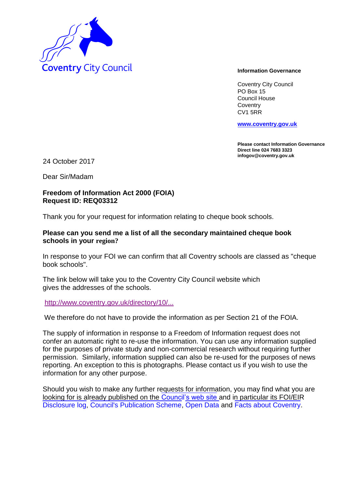

Coventry City Council PO Box 15 Council House **Coventry** CV1 5RR

**www.coventry.gov.uk**

**Please contact Information Governance Direct line 024 7683 3323 infogov@coventry.gov.uk** 

24 October 2017

Dear Sir/Madam

## **Freedom of Information Act 2000 (FOIA) Request ID: REQ03312**

Thank you for your request for information relating to cheque book schools.

## **Please can you send me a list of all the secondary maintained cheque book schools in your region?**

In response to your FOI we can confirm that all Coventry schools are classed as "cheque book schools".

The link below will take you to the Coventry City Council website which gives the addresses of the schools.

## http://www.coventry.gov.uk/directory/10/...

We therefore do not have to provide the information as per Section 21 of the FOIA.

The supply of information in response to a Freedom of Information request does not confer an automatic right to re-use the information. You can use any information supplied for the purposes of private study and non-commercial research without requiring further permission. Similarly, information supplied can also be re-used for the purposes of news reporting. An exception to this is photographs. Please contact us if you wish to use the information for any other purpose.

Should you wish to make any further requests for information, you may find what you are looking for is already published on the Council's web site and in particular its FOI/EIR Disclosure log, Council's Publication Scheme, Open Data and Facts about Coventry.